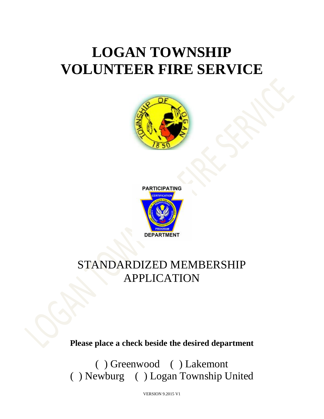# **LOGAN TOWNSHIP VOLUNTEER FIRE SERVICE**





## STANDARDIZED MEMBERSHIP APPLICATION

**Please place a check beside the desired department**

( ) Greenwood ( ) Lakemont ( ) Newburg ( ) Logan Township United

VERSION 9.2015 V1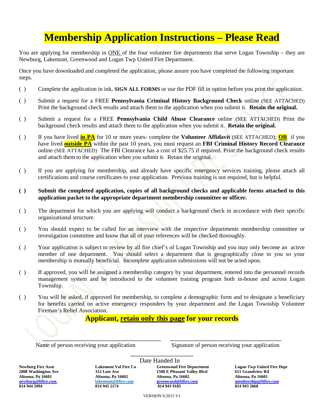## **Membership Application Instructions – Please Read**

You are applying for membership in ONE of the four volunteer fire departments that serve Logan Township – they are Newburg, Lakemont, Greenwood and Logan Twp United Fire Department.

Once you have downloaded and completed the application, please assure you have completed the following important steps.

- ( ) Complete the application in ink, **SIGN ALL FORMS** or use the PDF fill in option before you print the application.
- ( ) Submit a request for a FREE **Pennsylvania Criminal History Background Check** online (SEE ATTACHED) Print the background check results and attach them to the application when you submit it. **Retain the original.**
- ( ) Submit a request for a FREE **Pennsylvania Child Abuse Clearance** online (SEE ATTACHED) Print the background check results and attach them to the application when you submit it. **Retain the original.**
- ( ) If you have lived **in PA** for 10 or more years- complete the **Volunteer Affidavit** (SEE ATTACHED); **OR** if you have lived **outside PA** within the past 10 years, you must request an **FBI Criminal History Record Clearance** online (SEE ATTACHED) The FBI Clearance has a cost of \$25.75 if required. Print the background check results and attach them to the application when you submit it. Retain the original.
- ( ) If you are applying for membership, and already have specific emergency services training, please attach all certifications and course certificates to your application. Previous training is not required, but is helpful.
- **( ) Submit the completed application, copies of all background checks and applicable forms attached to this application packet to the appropriate department membership committee or officer.**
- ( ) The department for which you are applying will conduct a background check in accordance with their specific organizational structure.
- ( ) You should expect to be called for an interview with the respective departments membership committee or investigation committee and know that all of your references will be checked thoroughly.
- ( ) Your application is subject to review by all fire chief's of Logan Township and you may only become an active member of one department. You should select a department that is geographically close to you so your membership is mutually beneficial. Incomplete application submissions will not be acted upon.
- ( ) If approved, you will be assigned a membership category by your department, entered into the personnel records management system and be introduced to the volunteer training program both in-house and across Logan Township.
- ( ) You will be asked, if approved for membership, to complete a demographic form and to designate a beneficiary for benefits carried on active emergency responders by your department and the Logan Township Volunteer Fireman's Relief Association.

## **Applicant, retain only this page for your records**

\_\_\_\_\_\_\_\_\_\_\_\_\_\_\_\_\_

Name of person receiving your application Signature of person receiving your application

**Date Handed In**<br>Lakemont Vol Fire Co<br>Greenwood F

**Newburg Fire Assn Lakemont Vol Fire Co Greenwood Fire Department Logan Twp United Fire Dept 2500 E Pleasant Valley Blvd Altoona, Pa 16601 Altoona, Pa 16602 Altoona, Pa 16602 Altoona, Pa 16601 [newburg@ltfire.com](mailto:newburg@ltfire.com) lakemont@ltfire.com [greenwood@ltfire.com](mailto:greenwood@ltfire.com) [membership@ltfire.com](mailto:membership@ltfire.com) 814 944 5994 814 943 2174 814 943 9185 814 943 2668**

VERSION 9.2015 V1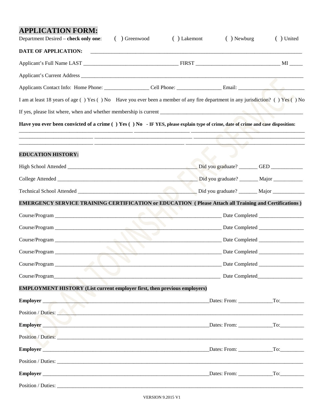## **APPLICATION FORM:**

| Department Desired – check only one:<br>( ) Greenwood                                                                            | ( ) Lakemont | $( )$ Newburg                               | () United |
|----------------------------------------------------------------------------------------------------------------------------------|--------------|---------------------------------------------|-----------|
| DATE OF APPLICATION:                                                                                                             |              |                                             |           |
|                                                                                                                                  |              |                                             |           |
|                                                                                                                                  |              |                                             |           |
|                                                                                                                                  |              |                                             |           |
| I am at least 18 years of age () Yes () No Have you ever been a member of any fire department in any jurisdiction? () Yes () No  |              |                                             |           |
|                                                                                                                                  |              |                                             |           |
| Have you ever been convicted of a crime () Yes () No - IF YES, please explain type of crime, date of crime and case disposition: |              |                                             |           |
|                                                                                                                                  |              |                                             |           |
| <b>EDUCATION HISTORY:</b>                                                                                                        |              |                                             |           |
|                                                                                                                                  |              |                                             |           |
|                                                                                                                                  |              | Did you graduate? ________ Major __________ |           |
|                                                                                                                                  |              |                                             |           |
| <b>EMERGENCY SERVICE TRAINING CERTIFICATION or EDUCATION (Please Attach all Training and Certifications)</b>                     |              |                                             |           |
|                                                                                                                                  |              |                                             |           |
|                                                                                                                                  |              |                                             |           |
|                                                                                                                                  |              |                                             |           |
|                                                                                                                                  |              |                                             |           |
| Course/Program                                                                                                                   |              |                                             |           |
| Course/Program                                                                                                                   |              |                                             |           |
| <b>EMPLOYMENT HISTORY (List current employer first, then previous employers)</b>                                                 |              |                                             |           |
| Employer                                                                                                                         |              |                                             |           |
| Position / Duties:                                                                                                               |              |                                             |           |
| Employer                                                                                                                         |              |                                             |           |
|                                                                                                                                  |              |                                             |           |
|                                                                                                                                  |              |                                             |           |
|                                                                                                                                  |              |                                             |           |
|                                                                                                                                  |              |                                             |           |
|                                                                                                                                  |              |                                             |           |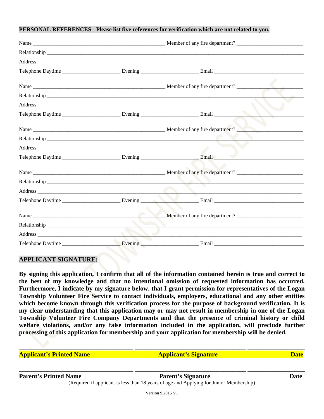#### **PERSONAL REFERENCES - Please list five references for verification which are not related to you.**

| <u>r part i </u> |  |
|------------------|--|
|                  |  |

#### **APPLICANT SIGNATURE:**

**By signing this application, I confirm that all of the information contained herein is true and correct to the best of my knowledge and that no intentional omission of requested information has occurred. Furthermore, I indicate by my signature below, that I grant permission for representatives of the Logan Township Volunteer Fire Service to contact individuals, employers, educational and any other entities which become known through this verification process for the purpose of background verification. It is my clear understanding that this application may or may not result in membership in one of the Logan Township Volunteer Fire Company Departments and that the presence of criminal history or child**  welfare violations, and/or any false information included in the application, will preclude further **processing of this application for membership and your application for membership will be denied.**

**Applicant's Printed Name Applicant's Signature Date Date** 

**\_\_\_\_\_\_\_\_\_\_\_\_\_\_\_\_\_\_\_\_\_\_\_\_\_\_\_\_\_\_\_\_\_\_\_\_ \_\_\_\_\_\_\_\_\_\_\_\_\_\_\_\_\_\_\_\_\_\_\_\_\_\_\_\_\_\_\_\_\_\_\_ \_\_\_\_\_\_\_\_\_\_\_\_\_\_\_\_\_\_**

**\_\_\_\_\_\_\_\_\_\_\_\_\_\_\_\_\_\_\_\_\_\_\_\_\_\_\_\_\_\_\_\_\_\_\_\_ \_\_\_\_\_\_\_\_\_\_\_\_\_\_\_\_\_\_\_\_\_\_\_\_\_\_\_\_\_\_\_\_\_\_\_ \_\_\_\_\_\_\_\_\_\_\_\_\_\_\_\_\_\_**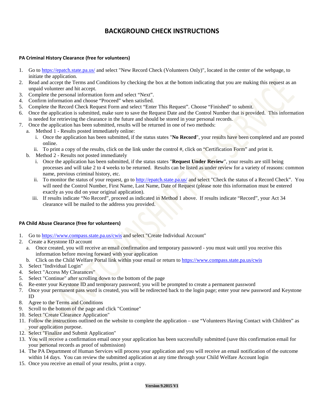## **BACKGROUND CHECK INSTRUCTIONS**

#### **PA Criminal History Clearance (free for volunteers)**

- 1. Go to<https://epatch.state.pa.us/> and select "New Record Check (Volunteers Only)", located in the center of the webpage, to initiate the application.
- 2. Read and accept the Terms and Conditions by checking the box at the bottom indicating that you are making this request as an unpaid volunteer and hit accept.
- 3. Complete the personal information form and select "Next".
- 4. Confirm information and choose "Proceed" when satisfied.
- 5. Complete the Record Check Request Form and select "Enter This Request". Choose "Finished" to submit.
- 6. Once the application is submitted, make sure to save the Request Date and the Control Number that is provided. This information is needed for retrieving the clearance in the future and should be stored in your personal records.
- 7. Once the application has been submitted, results will be returned in one of two methods:
	- a. Method 1 Results posted immediately online:
		- i. Once the application has been submitted, if the status states "**No Record**", your results have been completed and are posted online.
		- ii. To print a copy of the results, click on the link under the control #, click on "Certification Form" and print it.
	- b. Method 2 Results not posted immediately
		- i. Once the application has been submitted, if the status states "**Request Under Review**", your results are still being processes and will take 2 to 4 weeks to be returned. Results can be listed as under review for a variety of reasons: common name, previous criminal history, etc.
		- ii. To monitor the status of your request, go to<http://epatch.state.pa.us/> and select "Check the status of a Record Check". You will need the Control Number, First Name, Last Name, Date of Request (please note this information must be entered exactly as you did on your original application).
		- iii. If results indicate "No Record", proceed as indicated in Method 1 above. If results indicate "Record", your Act 34 clearance will be mailed to the address you provided.

#### **PA Child Abuse Clearance (free for volunteers)**

- 1. Go to<https://www.compass.state.pa.us/cwis> and select "Create Individual Account"
- 2. Create a Keystone ID account
	- a. Once created, you will receive an email confirmation and temporary password you must wait until you receive this information before moving forward with your application
	- b. Click on the Child Welfare Portal link within your email or return to<https://www.compass.state.pa.us/cwis>
- 3. Select "Individual Login"
- 4. Select "Access My Clearances"
- 5. Select "Continue" after scrolling down to the bottom of the page
- 6. Re-enter your Keystone ID and temporary password; you will be prompted to create a permanent password
- 7. Once your permanent pass word is created, you will be redirected back to the login page; enter your new password and Keystone ID
- 8. Agree to the Terms and Conditions
- 9. Scroll to the bottom of the page and click "Continue"
- 10. Select "Create Clearance Application"
- 11. Follow the instructions outlined on the website to complete the application use "Volunteers Having Contact with Children" as your application purpose.
- 12. Select "Finalize and Submit Application"
- 13. You will receive a confirmation email once your application has been successfully submitted (save this confirmation email for your personal records as proof of submission)
- 14. The PA Department of Human Services will process your application and you will receive an email notification of the outcome within 14 days. You can review the submitted application at any time through your Child Welfare Account login
- 15. Once you receive an email of your results, print a copy.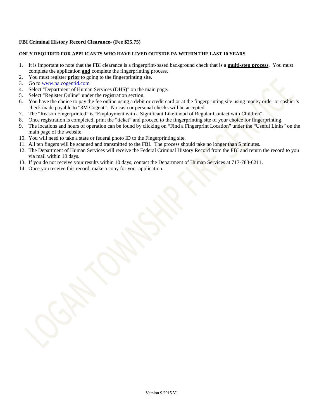#### **FBI Criminal History Record Clearance- (Fee \$25.75)**

#### **ONLY REQUIRED FOR APPLICANTS WHO HAVE LIVED OUTSIDE PA WITHIN THE LAST 10 YEARS**

- 1. It is important to note that the FBI clearance is a fingerprint-based background check that is a **multi-step process**. You must complete the application **and** complete the fingerprinting process.
- 2. You must register **prior** to going to the fingerprinting site.
- 3. Go to [www.pa.cogentid.com](http://www.pa.cogentid.com/)
- 4. Select "Department of Human Services (DHS)" on the main page.
- 5. Select "Register Online" under the registration section.
- 6. You have the choice to pay the fee online using a debit or credit card or at the fingerprinting site using money order or cashier's check made payable to "3M Cogent". No cash or personal checks will be accepted.
- 7. The "Reason Fingerprinted" is "Employment with a Significant Likelihood of Regular Contact with Children".
- 8. Once registration is completed, print the "ticket" and proceed to the fingerprinting site of your choice for fingerprinting.
- 9. The locations and hours of operation can be found by clicking on "Find a Fingerprint Location" under the "Useful Links" on the main page of the website.
- 10. You will need to take a state or federal photo ID to the Fingerprinting site.
- 11. All ten fingers will be scanned and transmitted to the FBI. The process should take no longer than 5 minutes.
- 12. The Department of Human Services will receive the Federal Criminal History Record from the FBI and return the record to you via mail within 10 days.
- 13. If you do not receive your results within 10 days, contact the Department of Human Services at 717-783-6211.
- 14. Once you receive this record, make a copy for your application.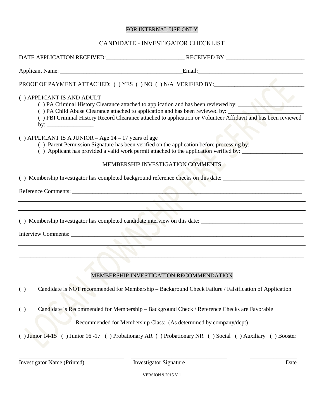### FOR INTERNAL USE ONLY

### CANDIDATE - INVESTIGATOR CHECKLIST

|                                                       | DATE APPLICATION RECEIVED: RECEIVED BY:                                                                                                                                                                                                                                              |      |
|-------------------------------------------------------|--------------------------------------------------------------------------------------------------------------------------------------------------------------------------------------------------------------------------------------------------------------------------------------|------|
|                                                       |                                                                                                                                                                                                                                                                                      |      |
|                                                       | PROOF OF PAYMENT ATTACHED: ( ) YES ( ) NO ( ) N/A VERIFIED BY:                                                                                                                                                                                                                       |      |
| () APPLICANT IS AND ADULT                             | () PA Criminal History Clearance attached to application and has been reviewed by:<br>() PA Child Abuse Clearance attached to application and has been reviewed by:<br>() FBI Criminal History Record Clearance attached to application or Volunteer Affidavit and has been reviewed |      |
| () APPLICANT IS A JUNIOR – Age $14 - 17$ years of age | () Parent Permission Signature has been verified on the application before processing by:<br>() Applicant has provided a valid work permit attached to the application verified by:                                                                                                  |      |
|                                                       | MEMBERSHIP INVESTIGATION COMMENTS                                                                                                                                                                                                                                                    |      |
|                                                       |                                                                                                                                                                                                                                                                                      |      |
|                                                       |                                                                                                                                                                                                                                                                                      |      |
|                                                       |                                                                                                                                                                                                                                                                                      |      |
|                                                       | () Membership Investigator has completed candidate interview on this date:                                                                                                                                                                                                           |      |
|                                                       | Interview Comments:                                                                                                                                                                                                                                                                  |      |
|                                                       |                                                                                                                                                                                                                                                                                      |      |
|                                                       |                                                                                                                                                                                                                                                                                      |      |
|                                                       |                                                                                                                                                                                                                                                                                      |      |
|                                                       | MEMBERSHIP INVESTIGATION RECOMMENDATION                                                                                                                                                                                                                                              |      |
|                                                       | ( ) Candidate is NOT recommended for Membership - Background Check Failure / Falsification of Application                                                                                                                                                                            |      |
| ( )                                                   | Candidate is Recommended for Membership - Background Check / Reference Checks are Favorable                                                                                                                                                                                          |      |
|                                                       | Recommended for Membership Class: (As determined by company/dept)                                                                                                                                                                                                                    |      |
|                                                       | () Junior 14-15 () Junior 16-17 () Probationary AR () Probationary NR () Social () Auxiliary () Booster                                                                                                                                                                              |      |
| <b>Investigator Name (Printed)</b>                    | <b>Investigator Signature</b>                                                                                                                                                                                                                                                        | Date |

VERSION 9.2015 V 1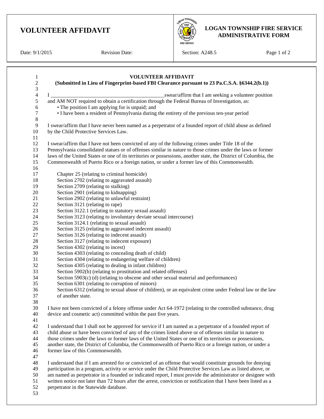## **VOLUNTEER AFFIDAVIT**

Date:  $9/1/2015$  Revision Date:

Section: A248.5 Page 1 of 2

**OBAN TOWNSHO** 

**LOGAN TOWNSHIP FIRE SERVICE ADMINISTRATIVE FORM**

| (Submitted in Lieu of Fingerprint-based FBI Clearance pursuant to 23 Pa.C.S.A. §6344.2(b.1))                                                                                                                                    |
|---------------------------------------------------------------------------------------------------------------------------------------------------------------------------------------------------------------------------------|
| _swear/affirm that I am seeking a volunteer position<br>$\bf{I}$                                                                                                                                                                |
| and AM NOT required to obtain a certification through the Federal Bureau of Investigation, as:                                                                                                                                  |
| • The position I am applying for is unpaid; and                                                                                                                                                                                 |
| • I have been a resident of Pennsylvania during the entirety of the previous ten-year period                                                                                                                                    |
|                                                                                                                                                                                                                                 |
| I swear/affirm that I have never been named as a perpetrator of a founded report of child abuse as defined                                                                                                                      |
| by the Child Protective Services Law.                                                                                                                                                                                           |
|                                                                                                                                                                                                                                 |
| I swear/affirm that I have not been convicted of any of the following crimes under Title 18 of the                                                                                                                              |
| Pennsylvania consolidated statues or of offenses similar in nature to those crimes under the laws or former<br>laws of the United States or one of its territories or possessions, another state, the District of Columbia, the |
| Commonwealth of Puerto Rico or a foreign nation, or under a former law of this Commonwealth.                                                                                                                                    |
|                                                                                                                                                                                                                                 |
| Chapter 25 (relating to criminal homicide)                                                                                                                                                                                      |
| Section 2702 (relating to aggravated assault)                                                                                                                                                                                   |
| Section 2709 (relating to stalking)                                                                                                                                                                                             |
| Section 2901 (relating to kidnapping)                                                                                                                                                                                           |
| Section 2902 (relating to unlawful restraint)                                                                                                                                                                                   |
| Section 3121 (relating to rape)                                                                                                                                                                                                 |
| Section 3122.1 (relating to statutory sexual assault)                                                                                                                                                                           |
| Section 3123 (relating to involuntary deviate sexual intercourse)                                                                                                                                                               |
| Section 3124.1 (relating to sexual assault)                                                                                                                                                                                     |
| Section 3125 (relating to aggravated indecent assault)                                                                                                                                                                          |
| Section 3126 (relating to indecent assault)                                                                                                                                                                                     |
| Section 3127 (relating to indecent exposure)                                                                                                                                                                                    |
| Section 4302 (relating to incest)                                                                                                                                                                                               |
| Section 4303 (relating to concealing death of child)                                                                                                                                                                            |
| Section 4304 (relating to endangering welfare of children)                                                                                                                                                                      |
| Section 4305 (relating to dealing in infant children)                                                                                                                                                                           |
| Section 5902(b) (relating to prostitution and related offenses)                                                                                                                                                                 |
| Section 5903(c) (d) (relating to obscene and other sexual material and performances)                                                                                                                                            |
| Section 6301 (relating to corruption of minors)<br>Section 6312 (relating to sexual abuse of children), or an equivalent crime under Federal law or the law                                                                     |
| of another state.                                                                                                                                                                                                               |
|                                                                                                                                                                                                                                 |
| I have not been convicted of a felony offense under Act 64-1972 (relating to the controlled substance, drug                                                                                                                     |
| device and cosmetic act) committed within the past five years.                                                                                                                                                                  |
|                                                                                                                                                                                                                                 |
| I understand that I shall not be approved for service if I am named as a perpetrator of a founded report of                                                                                                                     |
| child abuse or have been convicted of any of the crimes listed above or of offenses similar in nature to                                                                                                                        |
| those crimes under the laws or former laws of the United States or one of its territories or possessions,                                                                                                                       |
| another state, the District of Columbia, the Commonwealth of Puerto Rico or a foreign nation, or under a                                                                                                                        |
| former law of this Commonwealth.                                                                                                                                                                                                |
|                                                                                                                                                                                                                                 |
| I understand that if I am arrested for or convicted of an offense that would constitute grounds for denying                                                                                                                     |
| participation in a program, activity or service under the Child Protective Services Law as listed above, or                                                                                                                     |
| am named as perpetrator in a founded or indicated report, I must provide the administrator or designee with                                                                                                                     |
| written notice not later than 72 hours after the arrest, conviction or notification that I have been listed as a                                                                                                                |
| perpetrator in the Statewide database.                                                                                                                                                                                          |